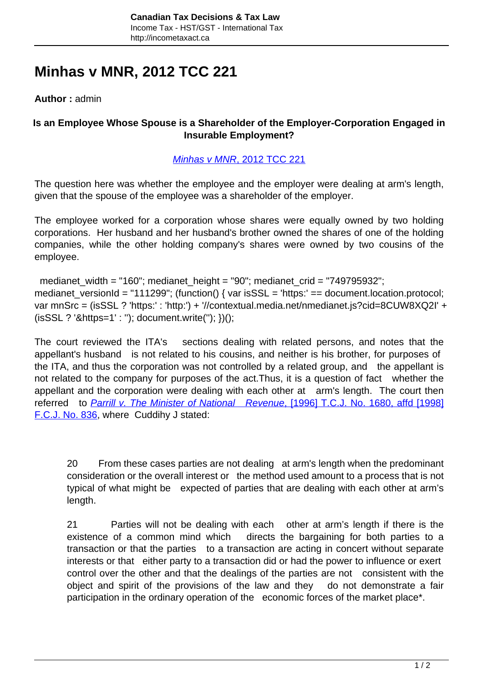# **Minhas v MNR, 2012 TCC 221**

**Author :** admin

### **Is an Employee Whose Spouse is a Shareholder of the Employer-Corporation Engaged in Insurable Employment?**

#### [Minhas v MNR](http://canlii.ca/t/frv0t)[, 2012 TCC 221](http://canlii.ca/t/frv0t)

The question here was whether the employee and the employer were dealing at arm's length, given that the spouse of the employee was a shareholder of the employer.

The employee worked for a corporation whose shares were equally owned by two holding corporations. Her husband and her husband's brother owned the shares of one of the holding companies, while the other holding company's shares were owned by two cousins of the employee.

medianet width = "160"; medianet height = "90"; medianet crid = "749795932"; medianet\_versionId = "111299"; (function() { var isSSL = 'https:' == document.location.protocol; var mnSrc = (isSSL ? 'https:' : 'http:') + '//contextual.media.net/nmedianet.js?cid=8CUW8XQ2I' + (isSSL ? '&https=1' : ''); document.write(''); })();

The court reviewed the ITA's sections dealing with related persons, and notes that the appellant's husband is not related to his cousins, and neither is his brother, for purposes of the ITA, and thus the corporation was not controlled by a related group, and the appellant is not related to the company for purposes of the act.Thus, it is a question of fact whether the appellant and the corporation were dealing with each other at arm's length. The court then referred to **[Parrill v. The Minister of National Revenue](http://canlii.ca/t/4md9)[, \[1996\] T.C.J. No. 1680, affd \[1998\]](http://canlii.ca/t/4md9)** [F.C.J. No. 836,](http://canlii.ca/t/4md9) where Cuddihy J stated:

20 From these cases parties are not dealing at arm's length when the predominant consideration or the overall interest or the method used amount to a process that is not typical of what might be expected of parties that are dealing with each other at arm's length.

21 Parties will not be dealing with each other at arm's length if there is the existence of a common mind which directs the bargaining for both parties to a transaction or that the parties to a transaction are acting in concert without separate interests or that either party to a transaction did or had the power to influence or exert control over the other and that the dealings of the parties are not consistent with the object and spirit of the provisions of the law and they do not demonstrate a fair participation in the ordinary operation of the economic forces of the market place\*.